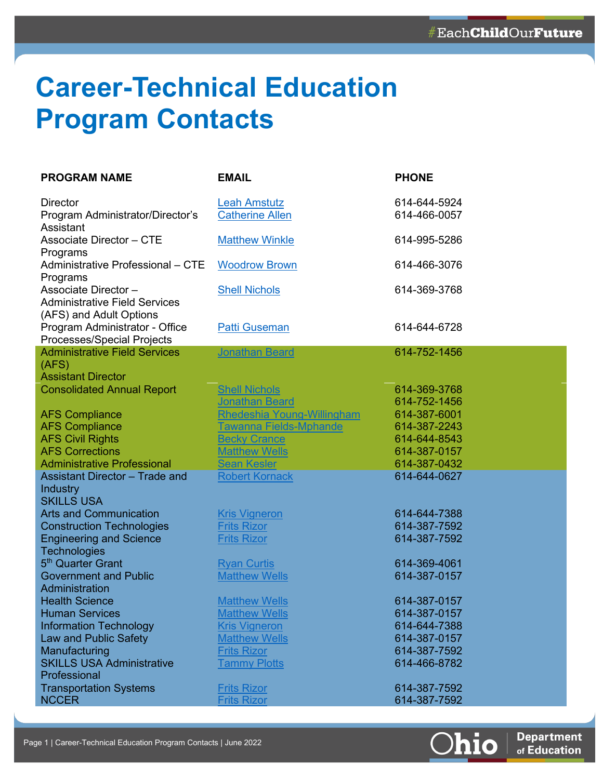## **Career-Technical Education Program Contacts**

| <b>PROGRAM NAME</b>                                                | <b>EMAIL</b>                                  | <b>PHONE</b>                 |
|--------------------------------------------------------------------|-----------------------------------------------|------------------------------|
| <b>Director</b><br>Program Administrator/Director's                | <b>Leah Amstutz</b><br><b>Catherine Allen</b> | 614-644-5924<br>614-466-0057 |
| Assistant                                                          |                                               |                              |
| <b>Associate Director - CTE</b><br>Programs                        | <b>Matthew Winkle</b>                         | 614-995-5286                 |
| Administrative Professional - CTE<br>Programs                      | <b>Woodrow Brown</b>                          | 614-466-3076                 |
| Associate Director-                                                | <b>Shell Nichols</b>                          | 614-369-3768                 |
| <b>Administrative Field Services</b><br>(AFS) and Adult Options    |                                               |                              |
| Program Administrator - Office                                     | <b>Patti Guseman</b>                          | 614-644-6728                 |
| Processes/Special Projects<br><b>Administrative Field Services</b> |                                               |                              |
| (AFS)                                                              | <b>Jonathan Beard</b>                         | 614-752-1456                 |
| <b>Assistant Director</b>                                          |                                               |                              |
| <b>Consolidated Annual Report</b>                                  | <b>Shell Nichols</b>                          | 614-369-3768                 |
|                                                                    | Jonathan Beard                                | 614-752-1456                 |
| <b>AFS Compliance</b>                                              | Rhedeshia Young-Willingham                    | 614-387-6001                 |
| <b>AFS Compliance</b>                                              | <u>Tawanna Fields-Mphande</u>                 | 614-387-2243                 |
| <b>AFS Civil Rights</b>                                            | <b>Becky Crance</b>                           | 614-644-8543                 |
| <b>AFS Corrections</b>                                             | <b>Matthew Wells</b>                          | 614-387-0157                 |
| <b>Administrative Professional</b>                                 | <b>Sean Kesler</b>                            | 614-387-0432                 |
| <b>Assistant Director - Trade and</b>                              | <b>Robert Kornack</b>                         | 614-644-0627                 |
| <b>Industry</b>                                                    |                                               |                              |
| <b>SKILLS USA</b>                                                  |                                               |                              |
| <b>Arts and Communication</b>                                      | <b>Kris Vigneron</b>                          | 614-644-7388                 |
| <b>Construction Technologies</b>                                   | <b>Frits Rizor</b>                            | 614-387-7592                 |
| <b>Engineering and Science</b>                                     | <b>Frits Rizor</b>                            | 614-387-7592                 |
| <b>Technologies</b>                                                |                                               |                              |
| 5 <sup>th</sup> Quarter Grant                                      | <b>Ryan Curtis</b>                            | 614-369-4061                 |
| <b>Government and Public</b>                                       | <b>Matthew Wells</b>                          | 614-387-0157                 |
| Administration                                                     |                                               |                              |
| <b>Health Science</b>                                              | <b>Matthew Wells</b>                          | 614-387-0157                 |
| <b>Human Services</b>                                              | <b>Matthew Wells</b>                          | 614-387-0157                 |
| <b>Information Technology</b>                                      | <b>Kris Vigneron</b>                          | 614-644-7388                 |
| Law and Public Safety                                              | <b>Matthew Wells</b>                          | 614-387-0157                 |
| Manufacturing                                                      | <b>Frits Rizor</b>                            | 614-387-7592                 |
| <b>SKILLS USA Administrative</b><br>Professional                   | <b>Tammy Plotts</b>                           | 614-466-8782                 |
| <b>Transportation Systems</b>                                      | <b>Frits Rizor</b>                            | 614-387-7592                 |
| <b>NCCER</b>                                                       | <b>Frits Rizor</b>                            | 614-387-7592                 |
|                                                                    |                                               |                              |

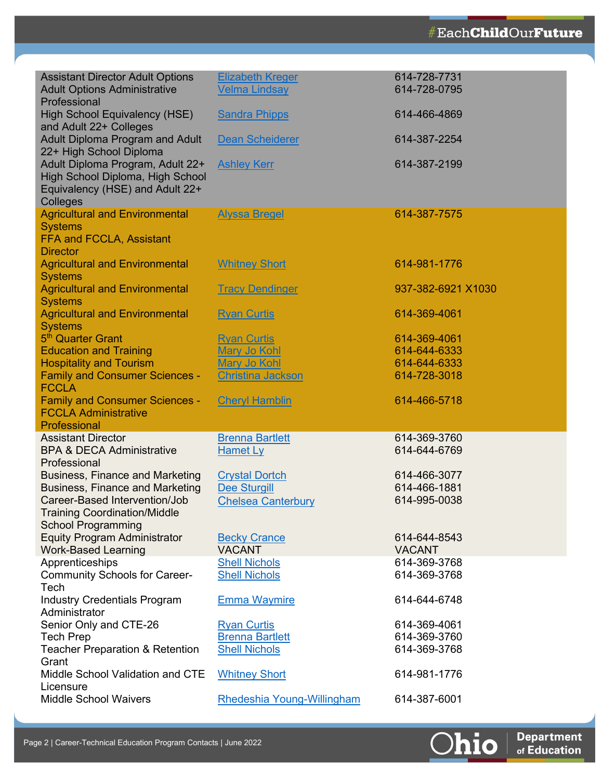| <b>Assistant Director Adult Options</b><br><b>Adult Options Administrative</b><br>Professional                      | <b>Elizabeth Kreger</b><br><b>Velma Lindsay</b> | 614-728-7731<br>614-728-0795 |
|---------------------------------------------------------------------------------------------------------------------|-------------------------------------------------|------------------------------|
| <b>High School Equivalency (HSE)</b><br>and Adult 22+ Colleges                                                      | <b>Sandra Phipps</b>                            | 614-466-4869                 |
| Adult Diploma Program and Adult<br>22+ High School Diploma                                                          | Dean Scheiderer                                 | 614-387-2254                 |
| Adult Diploma Program, Adult 22+<br>High School Diploma, High School<br>Equivalency (HSE) and Adult 22+<br>Colleges | <b>Ashley Kerr</b>                              | 614-387-2199                 |
| <b>Agricultural and Environmental</b><br><b>Systems</b>                                                             | <b>Alyssa Bregel</b>                            | 614-387-7575                 |
| FFA and FCCLA, Assistant<br><b>Director</b>                                                                         |                                                 |                              |
| <b>Agricultural and Environmental</b><br><b>Systems</b>                                                             | <b>Whitney Short</b>                            | 614-981-1776                 |
| <b>Agricultural and Environmental</b><br><b>Systems</b>                                                             | <b>Tracy Dendinger</b>                          | 937-382-6921 X1030           |
| <b>Agricultural and Environmental</b><br><b>Systems</b>                                                             | <b>Ryan Curtis</b>                              | 614-369-4061                 |
| 5 <sup>th</sup> Quarter Grant                                                                                       | <b>Ryan Curtis</b>                              | 614-369-4061                 |
| <b>Education and Training</b><br><b>Hospitality and Tourism</b>                                                     | Mary Jo Kohl<br>Mary Jo Kohl                    | 614-644-6333<br>614-644-6333 |
| <b>Family and Consumer Sciences -</b><br><b>FCCLA</b>                                                               | <b>Christina Jackson</b>                        | 614-728-3018                 |
| <b>Family and Consumer Sciences -</b><br><b>FCCLA Administrative</b>                                                | <b>Cheryl Hamblin</b>                           | 614-466-5718                 |
| Professional                                                                                                        |                                                 |                              |
| <b>Assistant Director</b>                                                                                           | <b>Brenna Bartlett</b>                          | 614-369-3760                 |
| <b>BPA &amp; DECA Administrative</b><br>Professional                                                                | <b>Hamet Ly</b>                                 | 614-644-6769                 |
| <b>Business, Finance and Marketing</b>                                                                              | <b>Crystal Dortch</b>                           | 614-466-3077                 |
| <b>Business, Finance and Marketing</b>                                                                              | <b>Dee Sturgill</b>                             | 614-466-1881                 |
| Career-Based Intervention/Job<br><b>Training Coordination/Middle</b>                                                | <b>Chelsea Canterbury</b>                       | 614-995-0038                 |
| <b>School Programming</b><br><b>Equity Program Administrator</b>                                                    | <b>Becky Crance</b>                             | 614-644-8543                 |
| <b>Work-Based Learning</b>                                                                                          | <b>VACANT</b>                                   | <b>VACANT</b>                |
| Apprenticeships                                                                                                     | <b>Shell Nichols</b>                            | 614-369-3768                 |
| <b>Community Schools for Career-</b><br><b>Tech</b>                                                                 | <b>Shell Nichols</b>                            | 614-369-3768                 |
| <b>Industry Credentials Program</b><br>Administrator                                                                | <b>Emma Waymire</b>                             | 614-644-6748                 |
| Senior Only and CTE-26                                                                                              | <b>Ryan Curtis</b>                              | 614-369-4061                 |
| <b>Tech Prep</b><br><b>Teacher Preparation &amp; Retention</b>                                                      | <b>Brenna Bartlett</b><br><b>Shell Nichols</b>  | 614-369-3760<br>614-369-3768 |
| Grant                                                                                                               |                                                 |                              |
| Middle School Validation and CTE<br>Licensure                                                                       | <b>Whitney Short</b>                            | 614-981-1776                 |
| <b>Middle School Waivers</b>                                                                                        | Rhedeshia Young-Willingham                      | 614-387-6001                 |